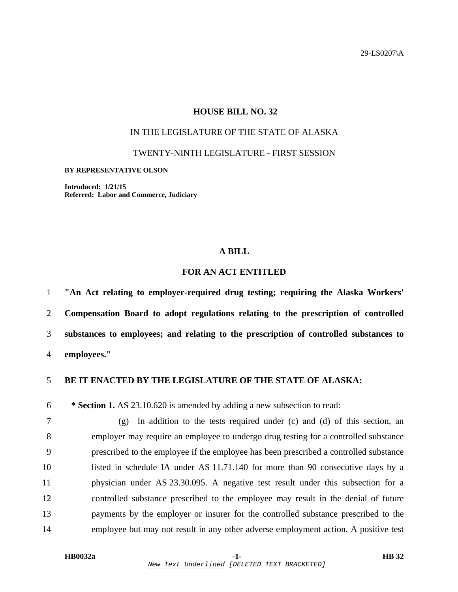29-LS0207\A

# **HOUSE BILL NO. 32**

# IN THE LEGISLATURE OF THE STATE OF ALASKA

TWENTY-NINTH LEGISLATURE - FIRST SESSION

#### **BY REPRESENTATIVE OLSON**

**Introduced: 1/21/15 Referred: Labor and Commerce, Judiciary** 

### **A BILL**

# **FOR AN ACT ENTITLED**

**"An Act relating to employer-required drug testing; requiring the Alaska Workers' Compensation Board to adopt regulations relating to the prescription of controlled substances to employees; and relating to the prescription of controlled substances to employees."** 

## 5 **BE IT ENACTED BY THE LEGISLATURE OF THE STATE OF ALASKA:**

6 **\* Section 1.** AS 23.10.620 is amended by adding a new subsection to read:

7 (g) In addition to the tests required under (c) and (d) of this section, an 8 employer may require an employee to undergo drug testing for a controlled substance 9 prescribed to the employee if the employee has been prescribed a controlled substance 10 listed in schedule IA under AS 11.71.140 for more than 90 consecutive days by a 11 physician under AS 23.30.095. A negative test result under this subsection for a 12 controlled substance prescribed to the employee may result in the denial of future 13 payments by the employer or insurer for the controlled substance prescribed to the 14 employee but may not result in any other adverse employment action. A positive test